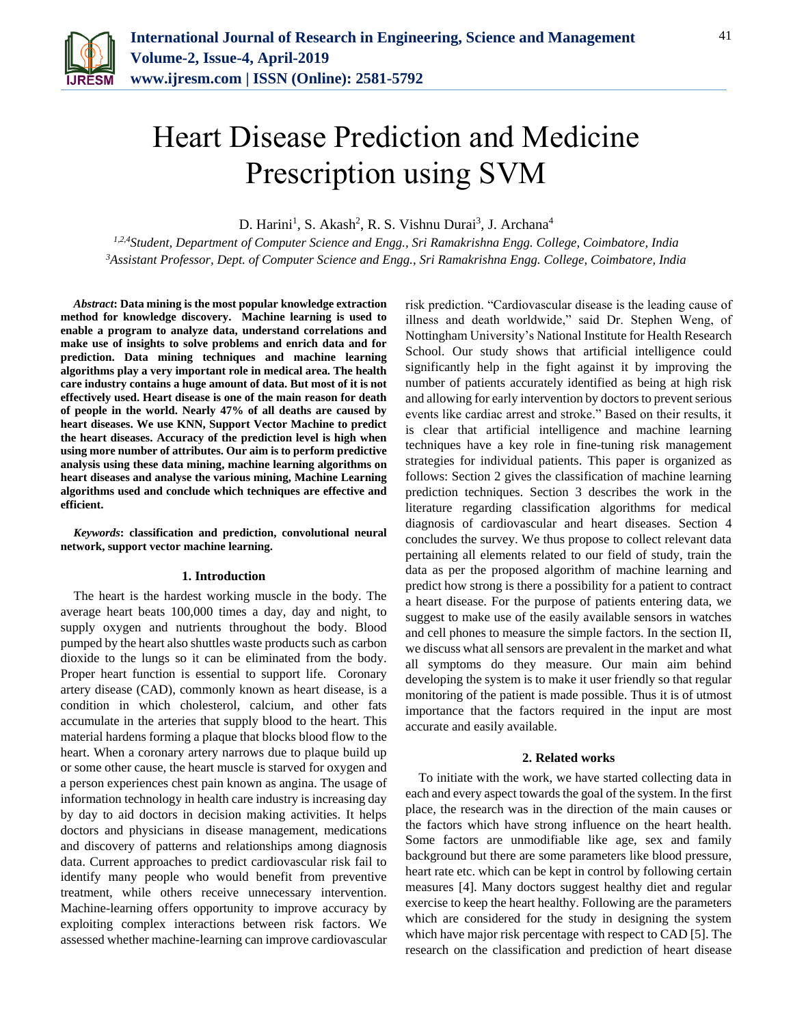

# Heart Disease Prediction and Medicine Prescription using SVM

D. Harini<sup>1</sup>, S. Akash<sup>2</sup>, R. S. Vishnu Durai<sup>3</sup>, J. Archana<sup>4</sup>

*1,2,4Student, Department of Computer Science and Engg., Sri Ramakrishna Engg. College, Coimbatore, India <sup>3</sup>Assistant Professor, Dept. of Computer Science and Engg., Sri Ramakrishna Engg. College, Coimbatore, India*

*Abstract***: Data mining is the most popular knowledge extraction method for knowledge discovery. Machine learning is used to enable a program to analyze data, understand correlations and make use of insights to solve problems and enrich data and for prediction. Data mining techniques and machine learning algorithms play a very important role in medical area. The health care industry contains a huge amount of data. But most of it is not effectively used. Heart disease is one of the main reason for death of people in the world. Nearly 47% of all deaths are caused by heart diseases. We use KNN, Support Vector Machine to predict the heart diseases. Accuracy of the prediction level is high when using more number of attributes. Our aim is to perform predictive analysis using these data mining, machine learning algorithms on heart diseases and analyse the various mining, Machine Learning algorithms used and conclude which techniques are effective and efficient.**

*Keywords***: classification and prediction, convolutional neural network, support vector machine learning.**

### **1. Introduction**

The heart is the hardest working muscle in the body. The average heart beats 100,000 times a day, day and night, to supply oxygen and nutrients throughout the body. Blood pumped by the heart also shuttles waste products such as carbon dioxide to the lungs so it can be eliminated from the body. Proper heart function is essential to support life. Coronary artery disease (CAD), commonly known as heart disease, is a condition in which cholesterol, calcium, and other fats accumulate in the arteries that supply blood to the heart. This material hardens forming a plaque that blocks blood flow to the heart. When a coronary artery narrows due to plaque build up or some other cause, the heart muscle is starved for oxygen and a person experiences chest pain known as angina. The usage of information technology in health care industry is increasing day by day to aid doctors in decision making activities. It helps doctors and physicians in disease management, medications and discovery of patterns and relationships among diagnosis data. Current approaches to predict cardiovascular risk fail to identify many people who would benefit from preventive treatment, while others receive unnecessary intervention. Machine-learning offers opportunity to improve accuracy by exploiting complex interactions between risk factors. We assessed whether machine-learning can improve cardiovascular risk prediction. "Cardiovascular disease is the leading cause of illness and death worldwide," said Dr. Stephen Weng, of Nottingham University's National Institute for Health Research School. Our study shows that artificial intelligence could significantly help in the fight against it by improving the number of patients accurately identified as being at high risk and allowing for early intervention by doctors to prevent serious events like cardiac arrest and stroke." Based on their results, it is clear that artificial intelligence and machine learning techniques have a key role in fine-tuning risk management strategies for individual patients. This paper is organized as follows: Section 2 gives the classification of machine learning prediction techniques. Section 3 describes the work in the literature regarding classification algorithms for medical diagnosis of cardiovascular and heart diseases. Section 4 concludes the survey. We thus propose to collect relevant data pertaining all elements related to our field of study, train the data as per the proposed algorithm of machine learning and predict how strong is there a possibility for a patient to contract a heart disease. For the purpose of patients entering data, we suggest to make use of the easily available sensors in watches and cell phones to measure the simple factors. In the section II, we discuss what all sensors are prevalent in the market and what all symptoms do they measure. Our main aim behind developing the system is to make it user friendly so that regular monitoring of the patient is made possible. Thus it is of utmost importance that the factors required in the input are most accurate and easily available.

#### **2. Related works**

To initiate with the work, we have started collecting data in each and every aspect towards the goal of the system. In the first place, the research was in the direction of the main causes or the factors which have strong influence on the heart health. Some factors are unmodifiable like age, sex and family background but there are some parameters like blood pressure, heart rate etc. which can be kept in control by following certain measures [4]. Many doctors suggest healthy diet and regular exercise to keep the heart healthy. Following are the parameters which are considered for the study in designing the system which have major risk percentage with respect to CAD [5]. The research on the classification and prediction of heart disease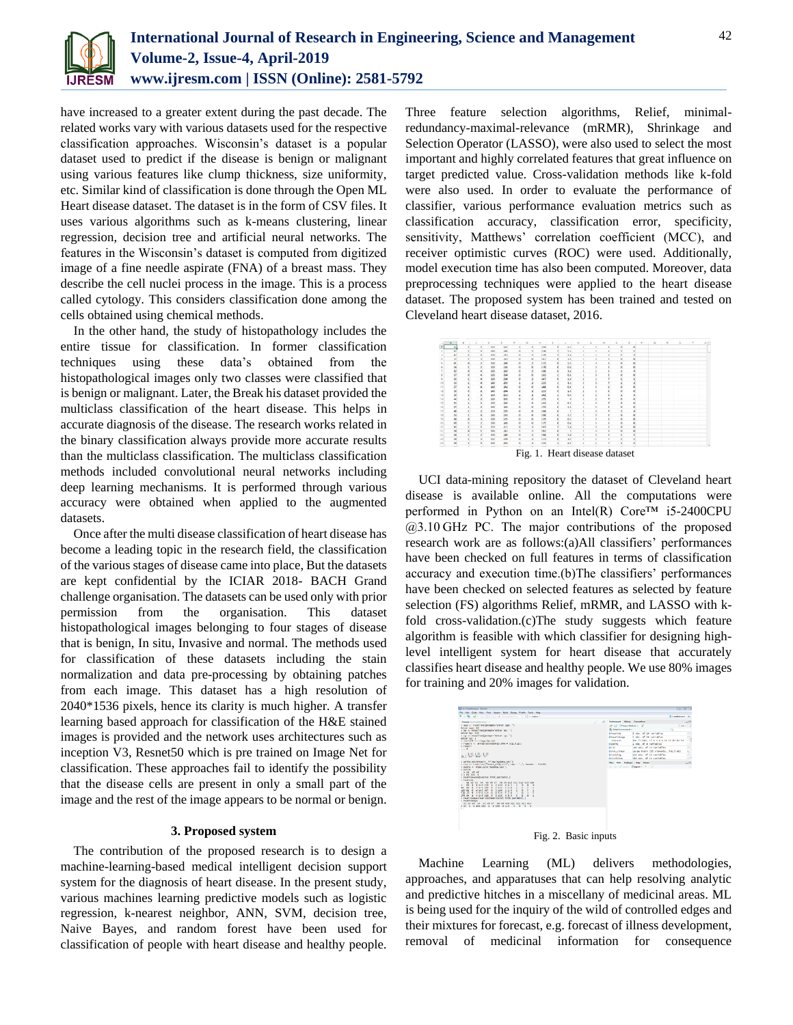

have increased to a greater extent during the past decade. The related works vary with various datasets used for the respective classification approaches. Wisconsin's dataset is a popular dataset used to predict if the disease is benign or malignant using various features like clump thickness, size uniformity, etc. Similar kind of classification is done through the Open ML Heart disease dataset. The dataset is in the form of CSV files. It uses various algorithms such as k-means clustering, linear regression, decision tree and artificial neural networks. The features in the Wisconsin's dataset is computed from digitized image of a fine needle aspirate (FNA) of a breast mass. They describe the cell nuclei process in the image. This is a process called cytology. This considers classification done among the cells obtained using chemical methods.

In the other hand, the study of histopathology includes the entire tissue for classification. In former classification techniques using these data's obtained from the histopathological images only two classes were classified that is benign or malignant. Later, the Break his dataset provided the multiclass classification of the heart disease. This helps in accurate diagnosis of the disease. The research works related in the binary classification always provide more accurate results than the multiclass classification. The multiclass classification methods included convolutional neural networks including deep learning mechanisms. It is performed through various accuracy were obtained when applied to the augmented datasets.

Once after the multi disease classification of heart disease has become a leading topic in the research field, the classification of the various stages of disease came into place, But the datasets are kept confidential by the ICIAR 2018- BACH Grand challenge organisation. The datasets can be used only with prior permission from the organisation. This dataset histopathological images belonging to four stages of disease that is benign, In situ, Invasive and normal. The methods used for classification of these datasets including the stain normalization and data pre-processing by obtaining patches from each image. This dataset has a high resolution of 2040\*1536 pixels, hence its clarity is much higher. A transfer learning based approach for classification of the H&E stained images is provided and the network uses architectures such as inception V3, Resnet50 which is pre trained on Image Net for classification. These approaches fail to identify the possibility that the disease cells are present in only a small part of the image and the rest of the image appears to be normal or benign.

# **3. Proposed system**

The contribution of the proposed research is to design a machine-learning-based medical intelligent decision support system for the diagnosis of heart disease. In the present study, various machines learning predictive models such as logistic regression, k-nearest neighbor, ANN, SVM, decision tree, Naive Bayes, and random forest have been used for classification of people with heart disease and healthy people.

Three feature selection algorithms, Relief, minimalredundancy-maximal-relevance (mRMR), Shrinkage and Selection Operator (LASSO), were also used to select the most important and highly correlated features that great influence on target predicted value. Cross-validation methods like k-fold were also used. In order to evaluate the performance of classifier, various performance evaluation metrics such as classification accuracy, classification error, specificity, sensitivity, Matthews' correlation coefficient (MCC), and receiver optimistic curves (ROC) were used. Additionally, model execution time has also been computed. Moreover, data preprocessing techniques were applied to the heart disease dataset. The proposed system has been trained and tested on Cleveland heart disease dataset, 2016.



UCI data-mining repository the dataset of Cleveland heart disease is available online. All the computations were performed in Python on an Intel(R) Core™ i5-2400CPU @3.10 GHz PC. The major contributions of the proposed research work are as follows:(a)All classifiers' performances have been checked on full features in terms of classification accuracy and execution time.(b)The classifiers' performances have been checked on selected features as selected by feature selection (FS) algorithms Relief, mRMR, and LASSO with kfold cross-validation.(c)The study suggests which feature algorithm is feasible with which classifier for designing highlevel intelligent system for heart disease that accurately classifies heart disease and healthy people. We use 80% images for training and 20% images for validation.



Machine Learning (ML) delivers methodologies, approaches, and apparatuses that can help resolving analytic and predictive hitches in a miscellany of medicinal areas. ML is being used for the inquiry of the wild of controlled edges and their mixtures for forecast, e.g. forecast of illness development, removal of medicinal information for consequence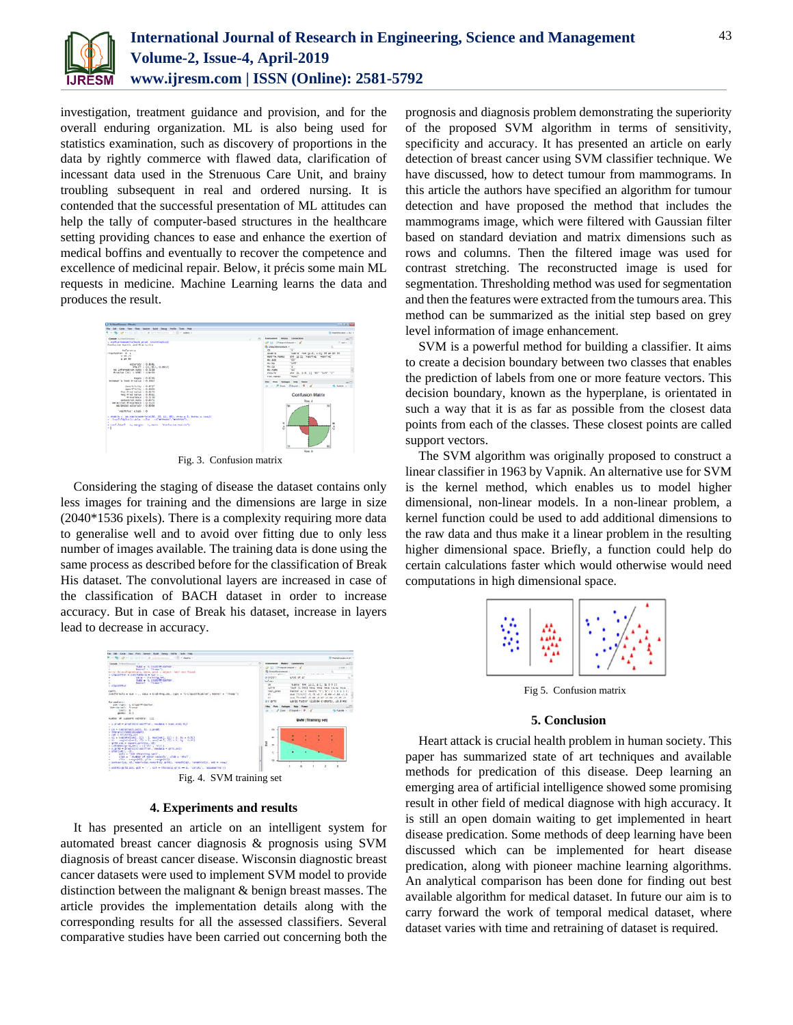

investigation, treatment guidance and provision, and for the overall enduring organization. ML is also being used for statistics examination, such as discovery of proportions in the data by rightly commerce with flawed data, clarification of incessant data used in the Strenuous Care Unit, and brainy troubling subsequent in real and ordered nursing. It is contended that the successful presentation of ML attitudes can help the tally of computer-based structures in the healthcare setting providing chances to ease and enhance the exertion of medical boffins and eventually to recover the competence and excellence of medicinal repair. Below, it précis some main ML requests in medicine. Machine Learning learns the data and produces the result.



Fig. 3. Confusion matrix

Considering the staging of disease the dataset contains only less images for training and the dimensions are large in size (2040\*1536 pixels). There is a complexity requiring more data to generalise well and to avoid over fitting due to only less number of images available. The training data is done using the same process as described before for the classification of Break His dataset. The convolutional layers are increased in case of the classification of BACH dataset in order to increase accuracy. But in case of Break his dataset, increase in layers lead to decrease in accuracy.



# **4. Experiments and results**

It has presented an article on an intelligent system for automated breast cancer diagnosis & prognosis using SVM diagnosis of breast cancer disease. Wisconsin diagnostic breast cancer datasets were used to implement SVM model to provide distinction between the malignant & benign breast masses. The article provides the implementation details along with the corresponding results for all the assessed classifiers. Several comparative studies have been carried out concerning both the

prognosis and diagnosis problem demonstrating the superiority of the proposed SVM algorithm in terms of sensitivity, specificity and accuracy. It has presented an article on early detection of breast cancer using SVM classifier technique. We have discussed, how to detect tumour from mammograms. In this article the authors have specified an algorithm for tumour detection and have proposed the method that includes the mammograms image, which were filtered with Gaussian filter based on standard deviation and matrix dimensions such as rows and columns. Then the filtered image was used for contrast stretching. The reconstructed image is used for segmentation. Thresholding method was used for segmentation and then the features were extracted from the tumours area. This method can be summarized as the initial step based on grey level information of image enhancement.

SVM is a powerful method for building a classifier. It aims to create a decision boundary between two classes that enables the prediction of labels from one or more feature vectors. This decision boundary, known as the hyperplane, is orientated in such a way that it is as far as possible from the closest data points from each of the classes. These closest points are called support vectors.

The SVM algorithm was originally proposed to construct a linear classifier in 1963 by Vapnik. An alternative use for SVM is the kernel method, which enables us to model higher dimensional, non-linear models. In a non-linear problem, a kernel function could be used to add additional dimensions to the raw data and thus make it a linear problem in the resulting higher dimensional space. Briefly, a function could help do certain calculations faster which would otherwise would need computations in high dimensional space.



Fig 5. Confusion matrix

# **5. Conclusion**

Heart attack is crucial health problem in human society. This paper has summarized state of art techniques and available methods for predication of this disease. Deep learning an emerging area of artificial intelligence showed some promising result in other field of medical diagnose with high accuracy. It is still an open domain waiting to get implemented in heart disease predication. Some methods of deep learning have been discussed which can be implemented for heart disease predication, along with pioneer machine learning algorithms. An analytical comparison has been done for finding out best available algorithm for medical dataset. In future our aim is to carry forward the work of temporal medical dataset, where dataset varies with time and retraining of dataset is required.